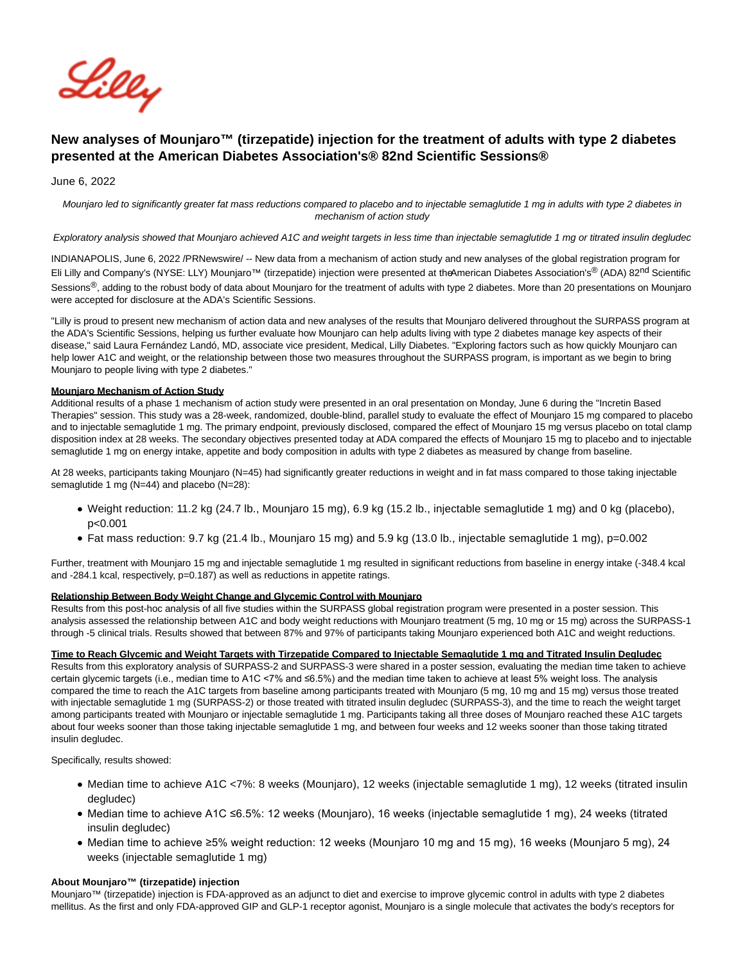

# **New analyses of Mounjaro™ (tirzepatide) injection for the treatment of adults with type 2 diabetes presented at the American Diabetes Association's® 82nd Scientific Sessions®**

June 6, 2022

Mounjaro led to significantly greater fat mass reductions compared to placebo and to injectable semaglutide 1 mg in adults with type 2 diabetes in mechanism of action study

Exploratory analysis showed that Mounjaro achieved A1C and weight targets in less time than injectable semaglutide 1 mg or titrated insulin degludec

INDIANAPOLIS, June 6, 2022 /PRNewswire/ -- New data from a mechanism of action study and new analyses of the global registration program for Eli Lilly and Company's (NYSE: LLY) Mounjaro<sup>™</sup> (tirzepatide) injection were presented at the American Diabetes Association's<sup>®</sup> (ADA) 82<sup>nd</sup> Scientific Sessions<sup>®</sup>, adding to the robust body of data about Mounjaro for the treatment of adults with type 2 diabetes. More than 20 presentations on Mounjaro were accepted for disclosure at the ADA's Scientific Sessions.

"Lilly is proud to present new mechanism of action data and new analyses of the results that Mounjaro delivered throughout the SURPASS program at the ADA's Scientific Sessions, helping us further evaluate how Mounjaro can help adults living with type 2 diabetes manage key aspects of their disease," said Laura Fernández Landó, MD, associate vice president, Medical, Lilly Diabetes. "Exploring factors such as how quickly Mounjaro can help lower A1C and weight, or the relationship between those two measures throughout the SURPASS program, is important as we begin to bring Mounjaro to people living with type 2 diabetes."

#### **Mounjaro Mechanism of Action Study**

Additional results of a phase 1 mechanism of action study were presented in an oral presentation on Monday, June 6 during the "Incretin Based Therapies" session. This study was a 28-week, randomized, double-blind, parallel study to evaluate the effect of Mounjaro 15 mg compared to placebo and to injectable semaglutide 1 mg. The primary endpoint, previously disclosed, compared the effect of Mounjaro 15 mg versus placebo on total clamp disposition index at 28 weeks. The secondary objectives presented today at ADA compared the effects of Mounjaro 15 mg to placebo and to injectable semaglutide 1 mg on energy intake, appetite and body composition in adults with type 2 diabetes as measured by change from baseline.

At 28 weeks, participants taking Mounjaro (N=45) had significantly greater reductions in weight and in fat mass compared to those taking injectable semaglutide 1 mg (N=44) and placebo (N=28):

- Weight reduction: 11.2 kg (24.7 lb., Mounjaro 15 mg), 6.9 kg (15.2 lb., injectable semaglutide 1 mg) and 0 kg (placebo), p<0.001
- Fat mass reduction: 9.7 kg (21.4 lb., Mounjaro 15 mg) and 5.9 kg (13.0 lb., injectable semaglutide 1 mg), p=0.002

Further, treatment with Mounjaro 15 mg and injectable semaglutide 1 mg resulted in significant reductions from baseline in energy intake (-348.4 kcal and -284.1 kcal, respectively, p=0.187) as well as reductions in appetite ratings.

#### **Relationship Between Body Weight Change and Glycemic Control with Mounjaro**

Results from this post-hoc analysis of all five studies within the SURPASS global registration program were presented in a poster session. This analysis assessed the relationship between A1C and body weight reductions with Mounjaro treatment (5 mg, 10 mg or 15 mg) across the SURPASS-1 through -5 clinical trials. Results showed that between 87% and 97% of participants taking Mounjaro experienced both A1C and weight reductions.

#### **Time to Reach Glycemic and Weight Targets with Tirzepatide Compared to Injectable Semaglutide 1 mg and Titrated Insulin Degludec**

Results from this exploratory analysis of SURPASS-2 and SURPASS-3 were shared in a poster session, evaluating the median time taken to achieve certain glycemic targets (i.e., median time to A1C <7% and ≤6.5%) and the median time taken to achieve at least 5% weight loss. The analysis compared the time to reach the A1C targets from baseline among participants treated with Mounjaro (5 mg, 10 mg and 15 mg) versus those treated with injectable semaglutide 1 mg (SURPASS-2) or those treated with titrated insulin degludec (SURPASS-3), and the time to reach the weight target among participants treated with Mounjaro or injectable semaglutide 1 mg. Participants taking all three doses of Mounjaro reached these A1C targets about four weeks sooner than those taking injectable semaglutide 1 mg, and between four weeks and 12 weeks sooner than those taking titrated insulin degludec.

Specifically, results showed:

- Median time to achieve A1C <7%: 8 weeks (Mounjaro), 12 weeks (injectable semaglutide 1 mg), 12 weeks (titrated insulin degludec)
- Median time to achieve A1C ≤6.5%: 12 weeks (Mounjaro), 16 weeks (injectable semaglutide 1 mg), 24 weeks (titrated insulin degludec)
- Median time to achieve ≥5% weight reduction: 12 weeks (Mounjaro 10 mg and 15 mg), 16 weeks (Mounjaro 5 mg), 24 weeks (injectable semaglutide 1 mg)

#### **About Mounjaro™ (tirzepatide) injection**

Mounjaro™ (tirzepatide) injection is FDA-approved as an adjunct to diet and exercise to improve glycemic control in adults with type 2 diabetes mellitus. As the first and only FDA-approved GIP and GLP-1 receptor agonist, Mounjaro is a single molecule that activates the body's receptors for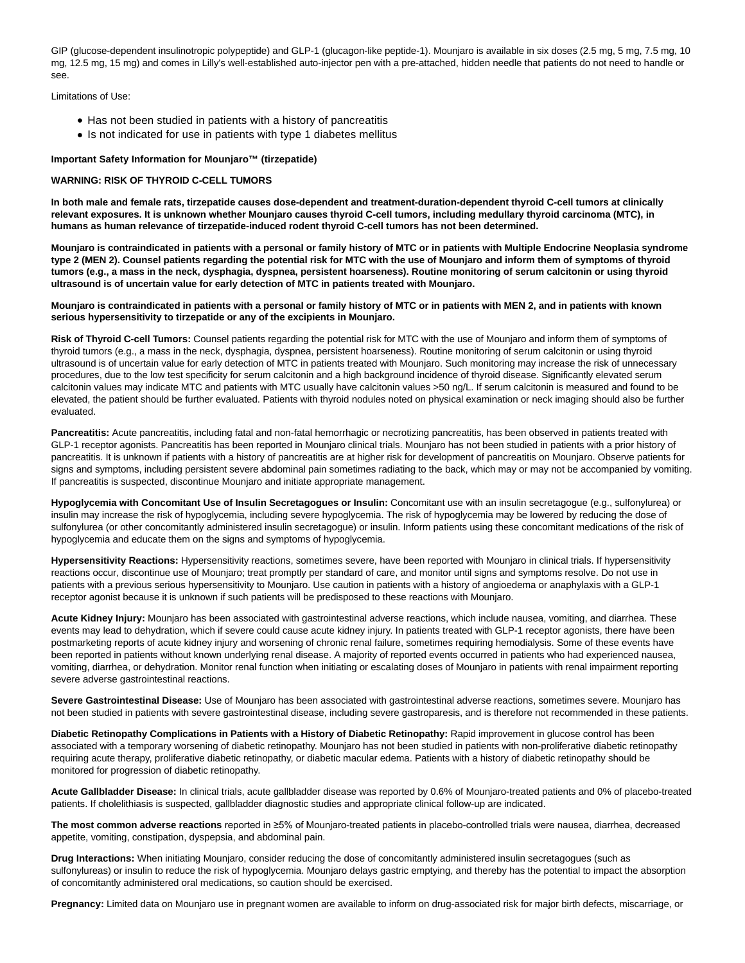GIP (glucose-dependent insulinotropic polypeptide) and GLP-1 (glucagon-like peptide-1). Mounjaro is available in six doses (2.5 mg, 5 mg, 7.5 mg, 10 mg, 12.5 mg, 15 mg) and comes in Lilly's well-established auto-injector pen with a pre-attached, hidden needle that patients do not need to handle or see.

Limitations of Use:

- Has not been studied in patients with a history of pancreatitis
- Is not indicated for use in patients with type 1 diabetes mellitus

# **Important Safety Information for Mounjaro™ (tirzepatide)**

#### **WARNING: RISK OF THYROID C-CELL TUMORS**

**In both male and female rats, tirzepatide causes dose-dependent and treatment-duration-dependent thyroid C-cell tumors at clinically relevant exposures. It is unknown whether Mounjaro causes thyroid C-cell tumors, including medullary thyroid carcinoma (MTC), in humans as human relevance of tirzepatide-induced rodent thyroid C-cell tumors has not been determined.**

**Mounjaro is contraindicated in patients with a personal or family history of MTC or in patients with Multiple Endocrine Neoplasia syndrome type 2 (MEN 2). Counsel patients regarding the potential risk for MTC with the use of Mounjaro and inform them of symptoms of thyroid tumors (e.g., a mass in the neck, dysphagia, dyspnea, persistent hoarseness). Routine monitoring of serum calcitonin or using thyroid ultrasound is of uncertain value for early detection of MTC in patients treated with Mounjaro.**

#### **Mounjaro is contraindicated in patients with a personal or family history of MTC or in patients with MEN 2, and in patients with known serious hypersensitivity to tirzepatide or any of the excipients in Mounjaro.**

**Risk of Thyroid C-cell Tumors:** Counsel patients regarding the potential risk for MTC with the use of Mounjaro and inform them of symptoms of thyroid tumors (e.g., a mass in the neck, dysphagia, dyspnea, persistent hoarseness). Routine monitoring of serum calcitonin or using thyroid ultrasound is of uncertain value for early detection of MTC in patients treated with Mounjaro. Such monitoring may increase the risk of unnecessary procedures, due to the low test specificity for serum calcitonin and a high background incidence of thyroid disease. Significantly elevated serum calcitonin values may indicate MTC and patients with MTC usually have calcitonin values >50 ng/L. If serum calcitonin is measured and found to be elevated, the patient should be further evaluated. Patients with thyroid nodules noted on physical examination or neck imaging should also be further evaluated.

Pancreatitis: Acute pancreatitis, including fatal and non-fatal hemorrhagic or necrotizing pancreatitis, has been observed in patients treated with GLP-1 receptor agonists. Pancreatitis has been reported in Mounjaro clinical trials. Mounjaro has not been studied in patients with a prior history of pancreatitis. It is unknown if patients with a history of pancreatitis are at higher risk for development of pancreatitis on Mounjaro. Observe patients for signs and symptoms, including persistent severe abdominal pain sometimes radiating to the back, which may or may not be accompanied by vomiting. If pancreatitis is suspected, discontinue Mounjaro and initiate appropriate management.

**Hypoglycemia with Concomitant Use of Insulin Secretagogues or Insulin:** Concomitant use with an insulin secretagogue (e.g., sulfonylurea) or insulin may increase the risk of hypoglycemia, including severe hypoglycemia. The risk of hypoglycemia may be lowered by reducing the dose of sulfonylurea (or other concomitantly administered insulin secretagogue) or insulin. Inform patients using these concomitant medications of the risk of hypoglycemia and educate them on the signs and symptoms of hypoglycemia.

**Hypersensitivity Reactions:** Hypersensitivity reactions, sometimes severe, have been reported with Mounjaro in clinical trials. If hypersensitivity reactions occur, discontinue use of Mounjaro; treat promptly per standard of care, and monitor until signs and symptoms resolve. Do not use in patients with a previous serious hypersensitivity to Mounjaro. Use caution in patients with a history of angioedema or anaphylaxis with a GLP-1 receptor agonist because it is unknown if such patients will be predisposed to these reactions with Mounjaro.

**Acute Kidney Injury:** Mounjaro has been associated with gastrointestinal adverse reactions, which include nausea, vomiting, and diarrhea. These events may lead to dehydration, which if severe could cause acute kidney injury. In patients treated with GLP-1 receptor agonists, there have been postmarketing reports of acute kidney injury and worsening of chronic renal failure, sometimes requiring hemodialysis. Some of these events have been reported in patients without known underlying renal disease. A majority of reported events occurred in patients who had experienced nausea, vomiting, diarrhea, or dehydration. Monitor renal function when initiating or escalating doses of Mounjaro in patients with renal impairment reporting severe adverse gastrointestinal reactions.

**Severe Gastrointestinal Disease:** Use of Mounjaro has been associated with gastrointestinal adverse reactions, sometimes severe. Mounjaro has not been studied in patients with severe gastrointestinal disease, including severe gastroparesis, and is therefore not recommended in these patients.

**Diabetic Retinopathy Complications in Patients with a History of Diabetic Retinopathy:** Rapid improvement in glucose control has been associated with a temporary worsening of diabetic retinopathy. Mounjaro has not been studied in patients with non-proliferative diabetic retinopathy requiring acute therapy, proliferative diabetic retinopathy, or diabetic macular edema. Patients with a history of diabetic retinopathy should be monitored for progression of diabetic retinopathy.

**Acute Gallbladder Disease:** In clinical trials, acute gallbladder disease was reported by 0.6% of Mounjaro-treated patients and 0% of placebo-treated patients. If cholelithiasis is suspected, gallbladder diagnostic studies and appropriate clinical follow-up are indicated.

**The most common adverse reactions** reported in ≥5% of Mounjaro-treated patients in placebo-controlled trials were nausea, diarrhea, decreased appetite, vomiting, constipation, dyspepsia, and abdominal pain.

**Drug Interactions:** When initiating Mounjaro, consider reducing the dose of concomitantly administered insulin secretagogues (such as sulfonylureas) or insulin to reduce the risk of hypoglycemia. Mounjaro delays gastric emptying, and thereby has the potential to impact the absorption of concomitantly administered oral medications, so caution should be exercised.

**Pregnancy:** Limited data on Mounjaro use in pregnant women are available to inform on drug-associated risk for major birth defects, miscarriage, or